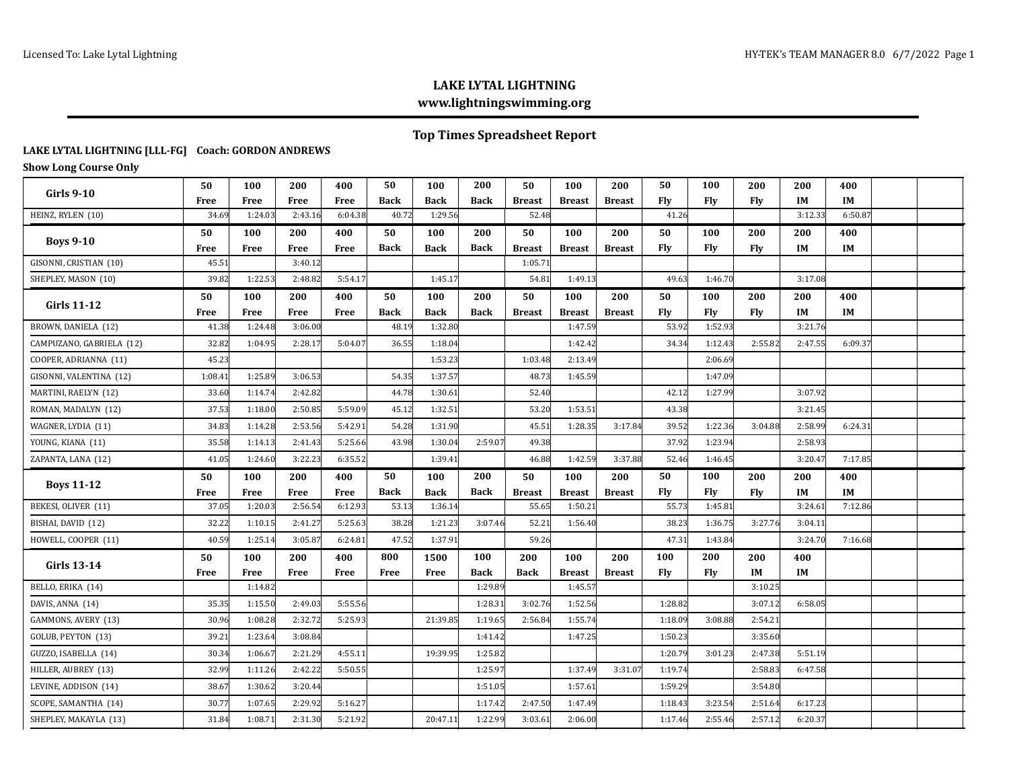### **LAKE LYTAL LIGHTNING www.lightningswimming.org**

# **Top Times Spreadsheet Report**

#### **LAKE LYTAL LIGHTNING [LLL-FG] Coach: GORDON ANDREWS**

**Show Long Course Only**

| <b>Girls 9-10</b>        | 50          | 100     | 200         | 400     | 50          | 100         | 200         | 50            | 100           | 200           | 50         | 100        | 200     | 200       | 400     |  |
|--------------------------|-------------|---------|-------------|---------|-------------|-------------|-------------|---------------|---------------|---------------|------------|------------|---------|-----------|---------|--|
|                          | Free        | Free    | <b>Free</b> | Free    | Back        | <b>Back</b> | Back        | <b>Breast</b> | <b>Breast</b> | <b>Breast</b> | <b>Fly</b> | Fly        | Fly     | <b>IM</b> | IM      |  |
| HEINZ, RYLEN (10)        | 34.69       | 1:24.03 | 2:43.16     | 6:04.38 | 40.72       | 1:29.56     |             | 52.48         |               |               | 41.26      |            |         | 3:12.33   | 6:50.87 |  |
| <b>Boys 9-10</b>         | 50          | 100     | 200         | 400     | 50          | 100         | 200         | 50            | 100           | 200           | 50         | 100        | 200     | 200       | 400     |  |
|                          | Free        | Free    | Free        | Free    | Back        | <b>Back</b> | <b>Back</b> | <b>Breast</b> | <b>Breast</b> | <b>Breast</b> | Fly        | Fly        | Fly     | IM        | IM      |  |
| GISONNI, CRISTIAN (10)   | 45.51       |         | 3:40.12     |         |             |             |             | 1:05.71       |               |               |            |            |         |           |         |  |
| SHEPLEY, MASON (10)      | 39.82       | 1:22.53 | 2:48.82     | 5:54.17 |             | 1:45.17     |             | 54.81         | 1:49.13       |               | 49.63      | 1:46.70    |         | 3:17.08   |         |  |
| <b>Girls 11-12</b>       | 50          | 100     | 200         | 400     | 50          | 100         | 200         | 50            | 100           | 200           | 50         | 100        | 200     | 200       | 400     |  |
|                          | Free        | Free    | <b>Free</b> | Free    | <b>Back</b> | <b>Back</b> | <b>Back</b> | <b>Breast</b> | <b>Breast</b> | <b>Breast</b> | <b>Fly</b> | <b>Fly</b> | Fly     | IM        | IM      |  |
| BROWN, DANIELA (12)      | 41.38       | 1:24.48 | 3:06.00     |         | 48.19       | 1:32.80     |             |               | 1:47.59       |               | 53.92      | 1:52.93    |         | 3:21.76   |         |  |
| CAMPUZANO, GABRIELA (12) | 32.82       | 1:04.95 | 2:28.17     | 5:04.07 | 36.55       | 1:18.04     |             |               | 1:42.42       |               | 34.34      | 1:12.43    | 2:55.82 | 2:47.55   | 6:09.37 |  |
| COOPER, ADRIANNA (11)    | 45.23       |         |             |         |             | 1:53.23     |             | 1:03.48       | 2:13.49       |               |            | 2:06.69    |         |           |         |  |
| GISONNI, VALENTINA (12)  | 1:08.41     | 1:25.89 | 3:06.53     |         | 54.35       | 1:37.57     |             | 48.73         | 1:45.59       |               |            | 1:47.09    |         |           |         |  |
| MARTINI, RAELYN (12)     | 33.60       | 1:14.74 | 2:42.82     |         | 44.78       | 1:30.61     |             | 52.40         |               |               | 42.12      | 1:27.99    |         | 3:07.92   |         |  |
| ROMAN, MADALYN (12)      | 37.53       | 1:18.00 | 2:50.85     | 5:59.09 | 45.12       | 1:32.51     |             | 53.20         | 1:53.51       |               | 43.38      |            |         | 3:21.45   |         |  |
| WAGNER, LYDIA (11)       | 34.83       | 1:14.28 | 2:53.56     | 5:42.91 | 54.28       | 1:31.90     |             | 45.51         | 1:28.35       | 3:17.84       | 39.52      | 1:22.36    | 3:04.88 | 2:58.99   | 6:24.31 |  |
| YOUNG, KIANA (11)        | 35.58       | 1:14.13 | 2:41.43     | 5:25.66 | 43.98       | 1:30.04     | 2:59.07     | 49.38         |               |               | 37.92      | 1:23.94    |         | 2:58.93   |         |  |
| ZAPANTA, LANA (12)       | 41.05       | 1:24.60 | 3:22.23     | 6:35.52 |             | 1:39.41     |             | 46.88         | 1:42.59       | 3:37.88       | 52.46      | 1:46.45    |         | 3:20.47   | 7:17.85 |  |
|                          | 50          | 100     | 200         | 400     | 50          | 100         | 200         | 50            | 100           | 200           | 50         | 100        | 200     | 200       | 400     |  |
| <b>Boys 11-12</b>        | <b>Free</b> | Free    | <b>Free</b> | Free    | <b>Back</b> | <b>Back</b> | <b>Back</b> | <b>Breast</b> | <b>Breast</b> | <b>Breast</b> | Fly        | Fly        | Fly     | IM        | IM      |  |
| BEKESI, OLIVER (11)      | 37.05       | 1:20.03 | 2:56.54     | 6:12.93 | 53.13       | 1:36.14     |             | 55.65         | 1:50.21       |               | 55.73      | 1:45.81    |         | 3:24.61   | 7:12.86 |  |
| BISHAI, DAVID (12)       | 32.22       | 1:10.15 | 2:41.27     | 5:25.63 | 38.28       | 1:21.23     | 3:07.46     | 52.21         | 1:56.40       |               | 38.23      | 1:36.75    | 3:27.76 | 3:04.11   |         |  |
| HOWELL, COOPER (11)      | 40.59       | 1:25.14 | 3:05.87     | 6:24.81 | 47.52       | 1:37.91     |             | 59.26         |               |               | 47.31      | 1:43.84    |         | 3:24.70   | 7:16.68 |  |
| <b>Girls 13-14</b>       | 50          | 100     | 200         | 400     | 800         | 1500        | 100         | 200           | 100           | 200           | 100        | 200        | 200     | 400       |         |  |
|                          | Free        | Free    | Free        | Free    | Free        | Free        | Back        | Back          | <b>Breast</b> | <b>Breast</b> | <b>Fly</b> | Fly        | IM      | IM        |         |  |
| BELLO, ERIKA (14)        |             | 1:14.82 |             |         |             |             | 1:29.89     |               | 1:45.57       |               |            |            | 3:10.25 |           |         |  |
| DAVIS, ANNA (14)         | 35.35       | 1:15.50 | 2:49.03     | 5:55.56 |             |             | 1:28.31     | 3:02.76       | 1:52.56       |               | 1:28.82    |            | 3:07.12 | 6:58.05   |         |  |
| GAMMONS, AVERY (13)      | 30.96       | 1:08.28 | 2:32.72     | 5:25.93 |             | 21:39.85    | 1:19.65     | 2:56.84       | 1:55.74       |               | 1:18.09    | 3:08.88    | 2:54.21 |           |         |  |
| GOLUB, PEYTON (13)       | 39.21       | 1:23.64 | 3:08.84     |         |             |             | 1:41.42     |               | 1:47.25       |               | 1:50.23    |            | 3:35.60 |           |         |  |
| GUZZO, ISABELLA (14)     | 30.34       | 1:06.67 | 2:21.29     | 4:55.11 |             | 19:39.95    | 1:25.82     |               |               |               | 1:20.79    | 3:01.23    | 2:47.38 | 5:51.19   |         |  |
| HILLER, AUBREY (13)      | 32.99       | 1:11.26 | 2:42.22     | 5:50.55 |             |             | 1:25.97     |               | 1:37.49       | 3:31.07       | 1:19.74    |            | 2:58.83 | 6:47.58   |         |  |
| LEVINE, ADDISON (14)     | 38.67       | 1:30.62 | 3:20.44     |         |             |             | 1:51.05     |               | 1:57.61       |               | 1:59.29    |            | 3:54.80 |           |         |  |
|                          |             |         |             |         |             |             |             |               |               |               | 1:18.43    | 3:23.54    | 2:51.64 | 6:17.23   |         |  |
| SCOPE, SAMANTHA (14)     | 30.77       | 1:07.65 | 2:29.92     | 5:16.27 |             |             | 1:17.42     | 2:47.50       | 1:47.49       |               |            |            |         |           |         |  |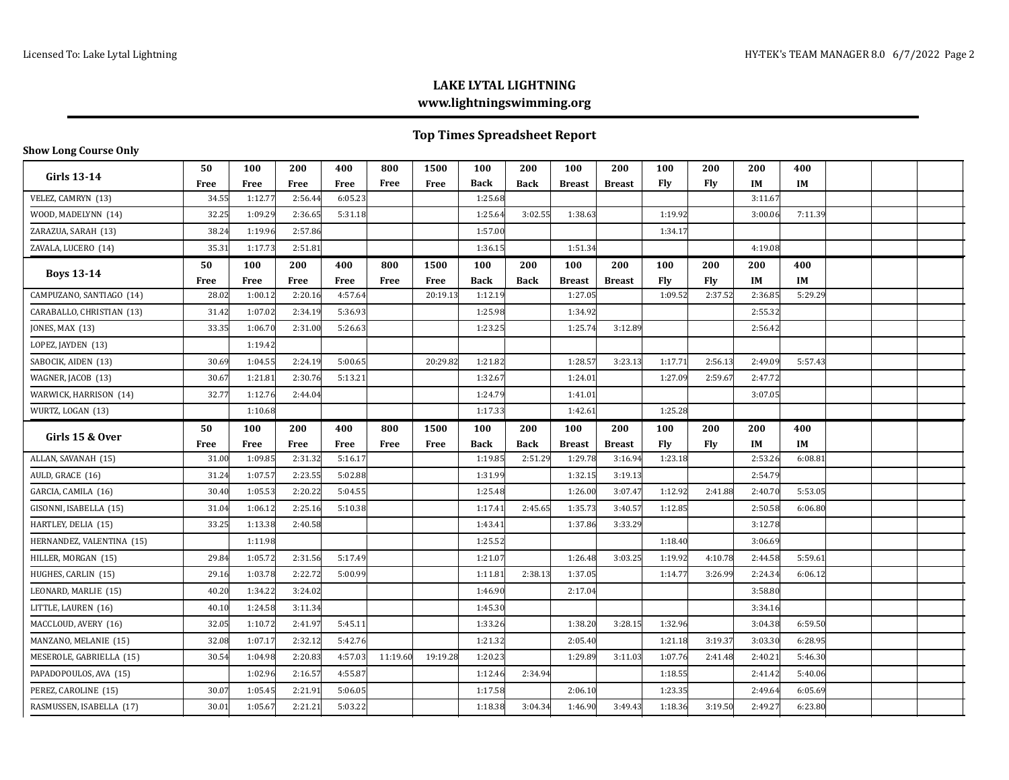# **LAKE LYTAL LIGHTNING www.lightningswimming.org**

# **Top Times Spreadsheet Report**

### **Show Long Course Only**

| Girls $13-14$             | 50          | 100         | 200     | 400     | 800      | 1500     | 100         | 200         | 100           | 200           | 100     | 200     | 200     | 400     |  |  |
|---------------------------|-------------|-------------|---------|---------|----------|----------|-------------|-------------|---------------|---------------|---------|---------|---------|---------|--|--|
|                           | Free        | Free        | Free    | Free    | Free     | Free     | <b>Back</b> | <b>Back</b> | <b>Breast</b> | <b>Breast</b> | Fly     | Fly     | IM      | IM      |  |  |
| VELEZ, CAMRYN (13)        | 34.55       | 1:12.77     | 2:56.44 | 6:05.23 |          |          | 1:25.68     |             |               |               |         |         | 3:11.67 |         |  |  |
| WOOD, MADELYNN (14)       | 32.25       | 1:09.29     | 2:36.65 | 5:31.18 |          |          | 1:25.64     | 3:02.55     | 1:38.63       |               | 1:19.92 |         | 3:00.06 | 7:11.39 |  |  |
| ZARAZUA, SARAH (13)       | 38.24       | 1:19.96     | 2:57.86 |         |          |          | 1:57.00     |             |               |               | 1:34.17 |         |         |         |  |  |
| ZAVALA, LUCERO (14)       | 35.31       | 1:17.7      | 2:51.81 |         |          |          | 1:36.15     |             | 1:51.34       |               |         |         | 4:19.08 |         |  |  |
|                           | 50          | 100         | 200     | 400     | 800      | 1500     | 100         | 200         | 100           | 200           | 100     | 200     | 200     | 400     |  |  |
| <b>Boys 13-14</b>         | <b>Free</b> | Free        | Free    | Free    | Free     | Free     | <b>Back</b> | <b>Back</b> | <b>Breast</b> | <b>Breast</b> | Fly     | Fly     | IM      | IM      |  |  |
| CAMPUZANO, SANTIAGO (14)  | 28.02       | 1:00.12     | 2:20.16 | 4:57.64 |          | 20:19.13 | 1:12.19     |             | 1:27.05       |               | 1:09.52 | 2:37.52 | 2:36.85 | 5:29.29 |  |  |
| CARABALLO, CHRISTIAN (13) | 31.42       | 1:07.02     | 2:34.19 | 5:36.93 |          |          | 1:25.98     |             | 1:34.92       |               |         |         | 2:55.32 |         |  |  |
| JONES, MAX (13)           | 33.35       | 1:06.70     | 2:31.00 | 5:26.63 |          |          | 1:23.25     |             | 1:25.74       | 3:12.89       |         |         | 2:56.42 |         |  |  |
| LOPEZ, JAYDEN (13)        |             | 1:19.42     |         |         |          |          |             |             |               |               |         |         |         |         |  |  |
| SABOCIK, AIDEN (13)       | 30.69       | 1:04.55     | 2:24.19 | 5:00.65 |          | 20:29.82 | 1:21.82     |             | 1:28.57       | 3:23.13       | 1:17.71 | 2:56.13 | 2:49.09 | 5:57.43 |  |  |
| WAGNER, JACOB (13)        | 30.67       | 1:21.81     | 2:30.76 | 5:13.21 |          |          | 1:32.67     |             | 1:24.01       |               | 1:27.09 | 2:59.67 | 2:47.72 |         |  |  |
| WARWICK, HARRISON (14)    | 32.77       | 1:12.76     | 2:44.04 |         |          |          | 1:24.79     |             | 1:41.01       |               |         |         | 3:07.05 |         |  |  |
| WURTZ, LOGAN (13)         |             | 1:10.68     |         |         |          |          | 1:17.33     |             | 1:42.61       |               | 1:25.28 |         |         |         |  |  |
|                           | 50          | 100         | 200     | 400     | 800      | 1500     | 100         | 200         | 100           | 200           | 100     | 200     | 200     | 400     |  |  |
| Girls 15 & Over           | Free        | <b>Free</b> | Free    | Free    | Free     | Free     | <b>Back</b> | <b>Back</b> | <b>Breast</b> | <b>Breast</b> | Fly     | Fly     | IM      | IM      |  |  |
| ALLAN, SAVANAH (15)       | 31.00       | 1:09.85     | 2:31.32 | 5:16.17 |          |          | 1:19.85     | 2:51.29     | 1:29.78       | 3:16.94       | 1:23.18 |         | 2:53.26 | 6:08.81 |  |  |
| AULD, GRACE (16)          | 31.24       | 1:07.57     | 2:23.55 | 5:02.88 |          |          | 1:31.99     |             | 1:32.15       | 3:19.13       |         |         | 2:54.79 |         |  |  |
| GARCIA, CAMILA (16)       | 30.40       | 1:05.53     | 2:20.22 | 5:04.55 |          |          | 1:25.48     |             | 1:26.00       | 3:07.47       | 1:12.92 | 2:41.88 | 2:40.70 | 5:53.05 |  |  |
| GISONNI, ISABELLA (15)    | 31.04       | 1:06.12     | 2:25.16 | 5:10.38 |          |          | 1:17.41     | 2:45.65     | 1:35.73       | 3:40.57       | 1:12.85 |         | 2:50.58 | 6:06.80 |  |  |
| HARTLEY, DELIA (15)       | 33.25       | 1:13.38     | 2:40.58 |         |          |          | 1:43.41     |             | 1:37.86       | 3:33.29       |         |         | 3:12.78 |         |  |  |
| HERNANDEZ, VALENTINA (15) |             | 1:11.98     |         |         |          |          | 1:25.52     |             |               |               | 1:18.40 |         | 3:06.69 |         |  |  |
| HILLER, MORGAN (15)       | 29.84       | 1:05.72     | 2:31.56 | 5:17.49 |          |          | 1:21.07     |             | 1:26.48       | 3:03.25       | 1:19.92 | 4:10.78 | 2:44.58 | 5:59.61 |  |  |
| HUGHES, CARLIN (15)       | 29.16       | 1:03.78     | 2:22.72 | 5:00.99 |          |          | 1:11.81     | 2:38.13     | 1:37.05       |               | 1:14.77 | 3:26.99 | 2:24.34 | 6:06.12 |  |  |
| LEONARD, MARLIE (15)      | 40.20       | 1:34.22     | 3:24.02 |         |          |          | 1:46.90     |             | 2:17.04       |               |         |         | 3:58.80 |         |  |  |
| LITTLE, LAUREN (16)       | 40.10       | 1:24.58     | 3:11.34 |         |          |          | 1:45.30     |             |               |               |         |         | 3:34.16 |         |  |  |
| MACCLOUD, AVERY (16)      | 32.05       | 1:10.72     | 2:41.97 | 5:45.11 |          |          | 1:33.26     |             | 1:38.20       | 3:28.15       | 1:32.96 |         | 3:04.38 | 6:59.50 |  |  |
| MANZANO, MELANIE (15)     | 32.08       | 1:07.17     | 2:32.12 | 5:42.76 |          |          | 1:21.32     |             | 2:05.40       |               | 1:21.18 | 3:19.37 | 3:03.30 | 6:28.95 |  |  |
| MESEROLE, GABRIELLA (15)  | 30.54       | 1:04.98     | 2:20.83 | 4:57.03 | 11:19.60 | 19:19.28 | 1:20.23     |             | 1:29.89       | 3:11.03       | 1:07.76 | 2:41.48 | 2:40.21 | 5:46.30 |  |  |
| PAPADOPOULOS, AVA (15)    |             | 1:02.96     | 2:16.57 | 4:55.87 |          |          | 1:12.46     | 2:34.94     |               |               | 1:18.55 |         | 2:41.42 | 5:40.06 |  |  |
| PEREZ, CAROLINE (15)      | 30.07       | 1:05.45     | 2:21.91 | 5:06.05 |          |          | 1:17.58     |             | 2:06.10       |               | 1:23.35 |         | 2:49.64 | 6:05.69 |  |  |
| RASMUSSEN, ISABELLA (17)  | 30.01       | 1:05.67     | 2:21.21 | 5:03.22 |          |          | 1:18.38     | 3:04.34     | 1:46.90       | 3:49.43       | 1:18.36 | 3:19.50 | 2:49.27 | 6:23.80 |  |  |